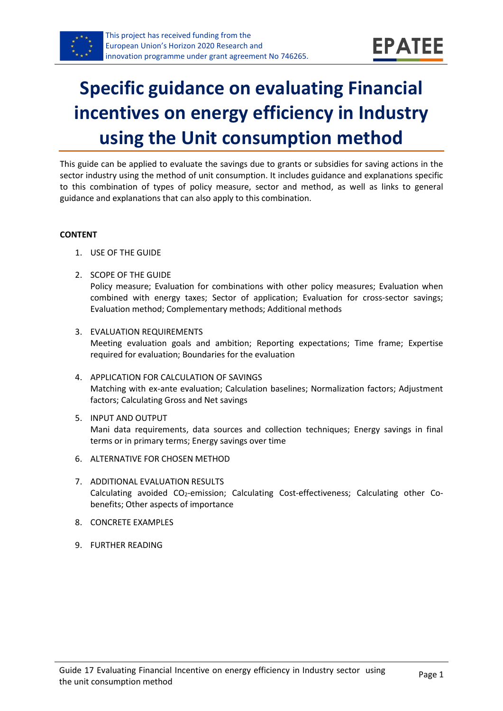

# **Specific guidance on evaluating Financial incentives on energy efficiency in Industry using the Unit consumption method**

This guide can be applied to evaluate the savings due to grants or subsidies for saving actions in the sector industry using the method of unit consumption. It includes guidance and explanations specific to this combination of types of policy measure, sector and method, as well as links to general guidance and explanations that can also apply to this combination.

#### **CONTENT**

- 1. USE OF THE GUIDE
- <span id="page-0-1"></span>2. SCOPE OF THE GUIDE

Policy measure; Evaluation for combinations with other policy measures; Evaluation when combined with energy taxes; Sector of application; Evaluation for cross-sector savings; Evaluation method; Complementary methods; Additional methods

- <span id="page-0-2"></span>3. EVALUATION REQUIREMENTS Meeting evaluation goals and ambition; Reporting expectations; Time frame; Expertise required for evaluation; Boundaries for the evaluation
- <span id="page-0-3"></span>4. APPLICATION FOR CALCULATION OF SAVINGS Matching with ex-ante evaluation; Calculation baselines; Normalization factors; Adjustment factors; Calculating Gross and Net savings
- <span id="page-0-4"></span>5. INPUT AND OUTPUT Mani data requirements, data sources and collection techniques; Energy savings in final terms or in primary terms; Energy savings over time
- <span id="page-0-0"></span>6. ALTERNATIVE FOR CHOSEN METHOD
- <span id="page-0-5"></span>7. ADDITIONAL EVALUATION RESULTS Calculating avoided CO2-emission; Calculating Cost-effectiveness; Calculating other Cobenefits; Other aspects of importance
- <span id="page-0-6"></span>8. CONCRETE EXAMPLES
- <span id="page-0-7"></span>9. FURTHER READING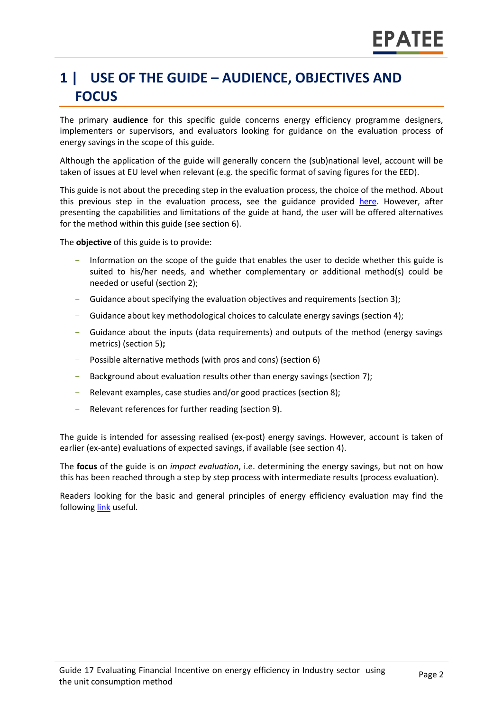## **1 | USE OF THE GUIDE – AUDIENCE, OBJECTIVES AND FOCUS**

The primary **audience** for this specific guide concerns energy efficiency programme designers, implementers or supervisors, and evaluators looking for guidance on the evaluation process of energy savings in the scope of this guide.

Although the application of the guide will generally concern the (sub)national level, account will be taken of issues at EU level when relevant (e.g. the specific format of saving figures for the EED).

This guide is not about the preceding step in the evaluation process, the choice of the method. About this previous step in the evaluation process, see the guidance provided [here.](https://www.epatee-toolbox.eu/wp-content/uploads/2019/04/epatee_integrating_evaluation_into_policy_cycle.pdf) However, after presenting the capabilities and limitations of the guide at hand, the user will be offered alternatives for the method within this guide (see section [6\)](#page-0-0).

The **objective** of this guide is to provide:

- Information on the scope of the guide that enables the user to decide whether this guide is suited to his/her needs, and whether complementary or additional method(s) could be needed or useful (sectio[n 2\)](#page-0-1);
- Guidance about specifying the evaluation objectives and requirements (section [3\)](#page-0-2);
- Guidance about key methodological choices to calculate energy savings (section [4\)](#page-0-3);
- Guidance about the inputs (data requirements) and outputs of the method (energy savings metrics) (sectio[n 5\)](#page-0-4)**;**
- Possible alternative methods (with pros and cons) (section [6\)](#page-0-0)
- Background about evaluation results other than energy savings (sectio[n 7\)](#page-0-5);
- Relevant examples, case studies and/or good practices (section [8\)](#page-0-6);
- Relevant references for further reading (section [9\)](#page-0-7).

The guide is intended for assessing realised (ex-post) energy savings. However, account is taken of earlier (ex-ante) evaluations of expected savings, if available (see section [4\)](#page-0-3).

The **focus** of the guide is on *impact evaluation*, i.e. determining the energy savings, but not on how this has been reached through a step by step process with intermediate results (process evaluation).

Readers looking for the basic and general principles of energy efficiency evaluation may find the followin[g link](https://www.epatee-toolbox.eu/evaluation-principles-and-methods/) useful.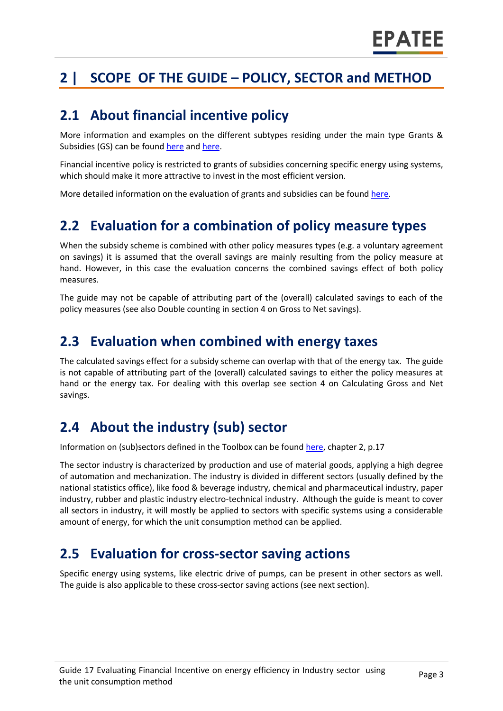## **2 | SCOPE OF THE GUIDE – POLICY, SECTOR and METHOD**

#### **2.1 About financial incentive policy**

More information and examples on the different subtypes residing under the main type Grants & Subsidies (GS) can be found [here](http://www.measures-odyssee-mure.eu/) an[d here.](https://www.epatee-lib.eu/)

Financial incentive policy is restricted to grants of subsidies concerning specific energy using systems, which should make it more attractive to invest in the most efficient version.

More detailed information on the evaluation of grants and subsidies can be found [here.](https://ec.europa.eu/energy/intelligent/projects/en/projects/emeees)

#### **2.2 Evaluation for a combination of policy measure types**

When the subsidy scheme is combined with other policy measures types (e.g. a voluntary agreement on savings) it is assumed that the overall savings are mainly resulting from the policy measure at hand. However, in this case the evaluation concerns the combined savings effect of both policy measures.

The guide may not be capable of attributing part of the (overall) calculated savings to each of the policy measures (see also Double counting in section [4](#page-0-3) on Gross to Net savings).

#### **2.3 Evaluation when combined with energy taxes**

The calculated savings effect for a subsidy scheme can overlap with that of the energy tax. The guide is not capable of attributing part of the (overall) calculated savings to either the policy measures at hand or the energy tax. For dealing with this overlap see section [4](#page-0-3) on Calculating Gross and Net savings.

### **2.4 About the industry (sub) sector**

Information on (sub)sectors defined in the Toolbox can be found [here,](https://www.epatee-toolbox.eu/wp-content/uploads/2018/10/Definitions-and-typologies-related-to-energy-savings-evaluation.pdf) chapter 2, p.17

The sector industry is characterized by production and use of material goods, applying a high degree of automation and mechanization. The industry is divided in different sectors (usually defined by the national statistics office), like food & beverage industry, chemical and pharmaceutical industry, paper industry, rubber and plastic industry electro-technical industry. Although the guide is meant to cover all sectors in industry, it will mostly be applied to sectors with specific systems using a considerable amount of energy, for which the unit consumption method can be applied.

#### **2.5 Evaluation for cross-sector saving actions**

Specific energy using systems, like electric drive of pumps, can be present in other sectors as well. The guide is also applicable to these cross-sector saving actions (see next section).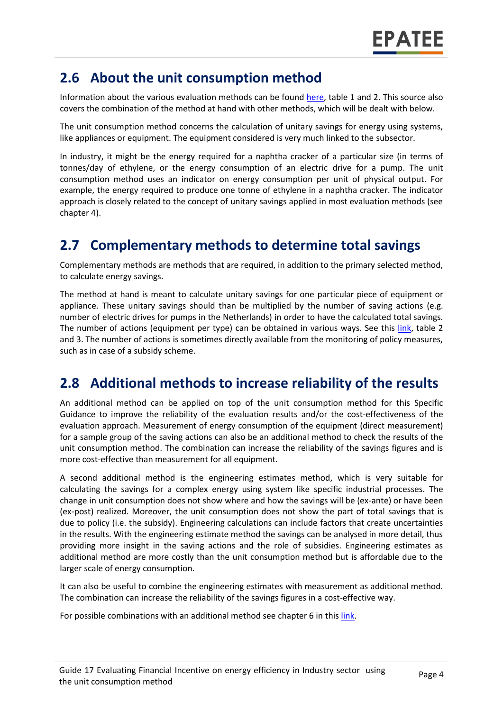#### **2.6 About the unit consumption method**

Information about the various evaluation methods can be found [here,](https://www.epatee-toolbox.eu/wp-content/uploads/2019/04/Saving_calculation_methods_for_EPATEE_Toobox_2019_04_24.pdf) table 1 and 2. This source also covers the combination of the method at hand with other methods, which will be dealt with below.

The unit consumption method concerns the calculation of unitary savings for energy using systems, like appliances or equipment. The equipment considered is very much linked to the subsector.

In industry, it might be the energy required for a naphtha cracker of a particular size (in terms of tonnes/day of ethylene, or the energy consumption of an electric drive for a pump. The unit consumption method uses an indicator on energy consumption per unit of physical output. For example, the energy required to produce one tonne of ethylene in a naphtha cracker. The indicator approach is closely related to the concept of unitary savings applied in most evaluation methods (see chapter [4\)](#page-0-3).

### **2.7 Complementary methods to determine total savings**

Complementary methods are methods that are required, in addition to the primary selected method, to calculate energy savings.

The method at hand is meant to calculate unitary savings for one particular piece of equipment or appliance. These unitary savings should than be multiplied by the number of saving actions (e.g. number of electric drives for pumps in the Netherlands) in order to have the calculated total savings. The number of actions (equipment per type) can be obtained in various ways. See this [link,](https://www.epatee-toolbox.eu/wp-content/uploads/2019/04/Saving_calculation_methods_for_EPATEE_Toobox_2019_04_24.pdf) table 2 and 3. The number of actions is sometimes directly available from the monitoring of policy measures, such as in case of a subsidy scheme.

### **2.8 Additional methods to increase reliability of the results**

An additional method can be applied on top of the unit consumption method for this Specific Guidance to improve the reliability of the evaluation results and/or the cost-effectiveness of the evaluation approach. Measurement of energy consumption of the equipment (direct measurement) for a sample group of the saving actions can also be an additional method to check the results of the unit consumption method. The combination can increase the reliability of the savings figures and is more cost-effective than measurement for all equipment.

A second additional method is the engineering estimates method, which is very suitable for calculating the savings for a complex energy using system like specific industrial processes. The change in unit consumption does not show where and how the savings will be (ex-ante) or have been (ex-post) realized. Moreover, the unit consumption does not show the part of total savings that is due to policy (i.e. the subsidy). Engineering calculations can include factors that create uncertainties in the results. With the engineering estimate method the savings can be analysed in more detail, thus providing more insight in the saving actions and the role of subsidies. Engineering estimates as additional method are more costly than the unit consumption method but is affordable due to the larger scale of energy consumption.

It can also be useful to combine the engineering estimates with measurement as additional method. The combination can increase the reliability of the savings figures in a cost-effective way.

For possible combinations with an additional method see chapter 6 in thi[s link.](https://www.epatee-toolbox.eu/evaluation-principles-and-methods/general-principles/saving-calculation-methods-and-their-application-in-the-epatee-toolbox/)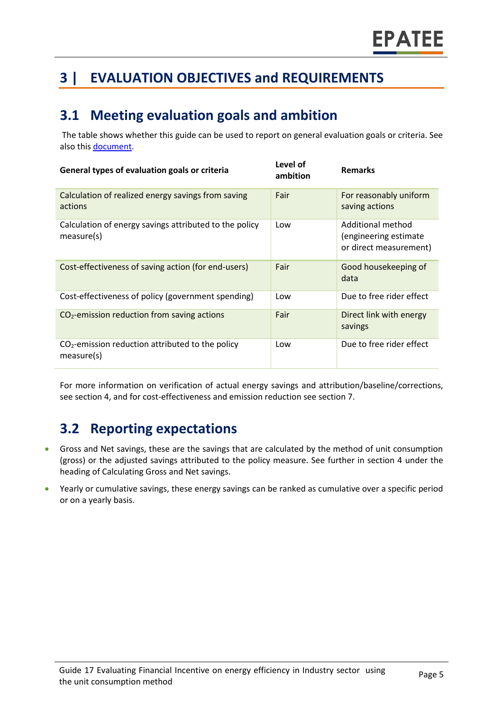## **3 | EVALUATION OBJECTIVES and REQUIREMENTS**

### **3.1 Meeting evaluation goals and ambition**

The table shows whether this guide can be used to report on general evaluation goals or criteria. See also this [document.](https://www.epatee-lib.eu/media/docs/D4_EMEEES_Final.pdf)

| General types of evaluation goals or criteria                        | Level of<br>ambition | <b>Remarks</b>                                                        |
|----------------------------------------------------------------------|----------------------|-----------------------------------------------------------------------|
| Calculation of realized energy savings from saving<br>actions        | Fair                 | For reasonably uniform<br>saving actions                              |
| Calculation of energy savings attributed to the policy<br>measure(s) | Low                  | Additional method<br>(engineering estimate)<br>or direct measurement) |
| Cost-effectiveness of saving action (for end-users)                  | Fair                 | Good housekeeping of<br>data                                          |
| Cost-effectiveness of policy (government spending)                   | Low                  | Due to free rider effect                                              |
| $CO2$ -emission reduction from saving actions                        | Fair                 | Direct link with energy<br>savings                                    |
| $CO2$ -emission reduction attributed to the policy<br>measure(s)     | Low                  | Due to free rider effect                                              |

For more information on verification of actual energy savings and attribution/baseline/corrections, see section [4,](#page-0-3) and for cost-effectiveness and emission reduction see sectio[n 7.](#page-0-5)

## **3.2 Reporting expectations**

- Gross and Net savings, these are the savings that are calculated by the method of unit consumption (gross) or the adjusted savings attributed to the policy measure. See further in section [4](#page-0-3) under the heading of Calculating Gross and Net savings.
- Yearly or cumulative savings, these energy savings can be ranked as cumulative over a specific period or on a yearly basis.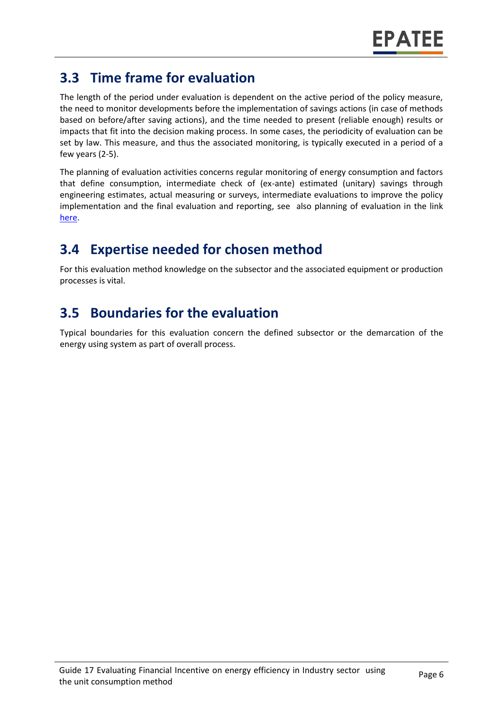## **3.3 Time frame for evaluation**

The length of the period under evaluation is dependent on the active period of the policy measure, the need to monitor developments before the implementation of savings actions (in case of methods based on before/after saving actions), and the time needed to present (reliable enough) results or impacts that fit into the decision making process. In some cases, the periodicity of evaluation can be set by law. This measure, and thus the associated monitoring, is typically executed in a period of a few years (2-5).

The planning of evaluation activities concerns regular monitoring of energy consumption and factors that define consumption, intermediate check of (ex-ante) estimated (unitary) savings through engineering estimates, actual measuring or surveys, intermediate evaluations to improve the policy implementation and the final evaluation and reporting, see also planning of evaluation in the link [here.](https://www.epatee-toolbox.eu/wp-content/uploads/2019/04/epatee_integrating_evaluation_into_policy_cycle.pdf)

## **3.4 Expertise needed for chosen method**

For this evaluation method knowledge on the subsector and the associated equipment or production processes is vital.

## **3.5 Boundaries for the evaluation**

Typical boundaries for this evaluation concern the defined subsector or the demarcation of the energy using system as part of overall process.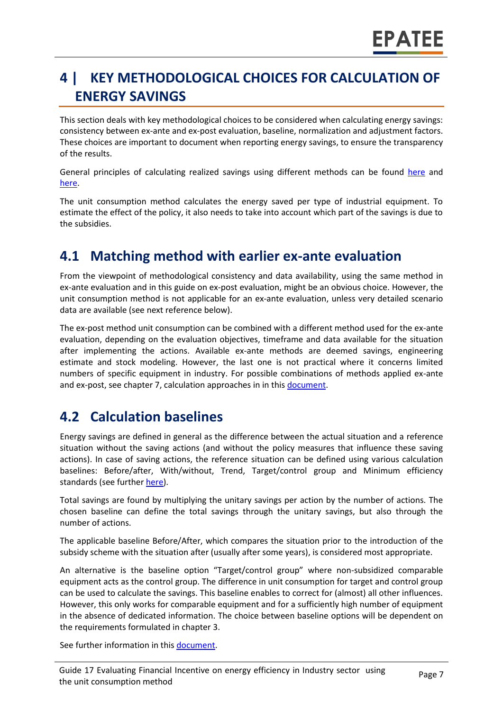## **4 | KEY METHODOLOGICAL CHOICES FOR CALCULATION OF ENERGY SAVINGS**

This section deals with key methodological choices to be considered when calculating energy savings: consistency between ex-ante and ex-post evaluation, baseline, normalization and adjustment factors. These choices are important to document when reporting energy savings, to ensure the transparency of the results.

General principles of calculating realized savings using different methods can be found [here](https://www.epatee-lib.eu/media/docs/D4_EMEEES_Final.pdf) and [here.](https://www.epatee-lib.eu/media/docs/EMEEES_WP3_Report_Final.pdf)

The unit consumption method calculates the energy saved per type of industrial equipment. To estimate the effect of the policy, it also needs to take into account which part of the savings is due to the subsidies.

### **4.1 Matching method with earlier ex-ante evaluation**

From the viewpoint of methodological consistency and data availability, using the same method in ex-ante evaluation and in this guide on ex-post evaluation, might be an obvious choice. However, the unit consumption method is not applicable for an ex-ante evaluation, unless very detailed scenario data are available (see next reference below).

The ex-post method unit consumption can be combined with a different method used for the ex-ante evaluation, depending on the evaluation objectives, timeframe and data available for the situation after implementing the actions. Available ex-ante methods are deemed savings, engineering estimate and stock modeling. However, the last one is not practical where it concerns limited numbers of specific equipment in industry. For possible combinations of methods applied ex-ante and ex-post, see chapter 7, calculation approaches in in this [document.](https://www.epatee-toolbox.eu/wp-content/uploads/2019/04/Saving_calculation_methods_for_EPATEE_Toobox_2019_04_24.pdf)

### **4.2 Calculation baselines**

Energy savings are defined in general as the difference between the actual situation and a reference situation without the saving actions (and without the policy measures that influence these saving actions). In case of saving actions, the reference situation can be defined using various calculation baselines: Before/after, With/without, Trend, Target/control group and Minimum efficiency standards (see furthe[r here\)](https://www.epatee-toolbox.eu/wp-content/uploads/2019/04/Application_of_KB_savings_baselines_and_correction_factors_in_the_Toolbox_and_PSMCs_190418_.pdf).

Total savings are found by multiplying the unitary savings per action by the number of actions. The chosen baseline can define the total savings through the unitary savings, but also through the number of actions.

The applicable baseline Before/After, which compares the situation prior to the introduction of the subsidy scheme with the situation after (usually after some years), is considered most appropriate.

An alternative is the baseline option "Target/control group" where non-subsidized comparable equipment acts as the control group. The difference in unit consumption for target and control group can be used to calculate the savings. This baseline enables to correct for (almost) all other influences. However, this only works for comparable equipment and for a sufficiently high number of equipment in the absence of dedicated information. The choice between baseline options will be dependent on the requirements formulated in chapter [3.](#page-0-2)

See further information in this [document.](https://www.academia.edu/14979876/Evaluating_energy_efficiency_policy_measures_and_DSM_programmes)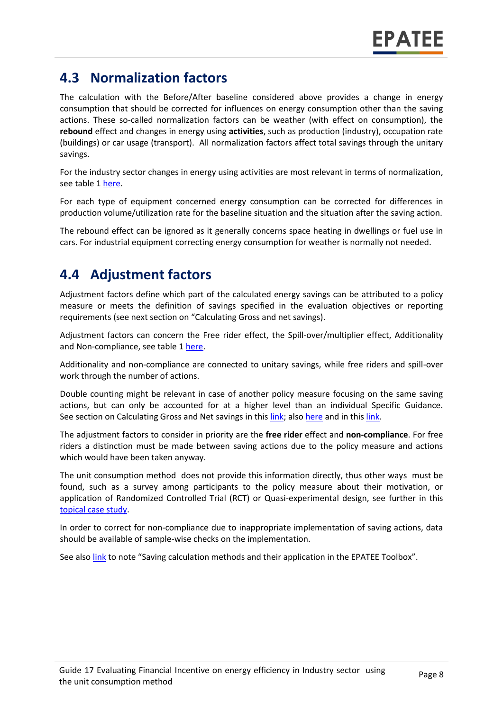### **4.3 Normalization factors**

The calculation with the Before/After baseline considered above provides a change in energy consumption that should be corrected for influences on energy consumption other than the saving actions. These so-called normalization factors can be weather (with effect on consumption), the **rebound** effect and changes in energy using **activities**, such as production (industry), occupation rate (buildings) or car usage (transport). All normalization factors affect total savings through the unitary savings.

For the industry sector changes in energy using activities are most relevant in terms of normalization, see table 1 [here.](https://www.epatee-toolbox.eu/wp-content/uploads/2019/04/Saving_calculation_methods_for_EPATEE_Toobox_2019_04_24.pdf)

For each type of equipment concerned energy consumption can be corrected for differences in production volume/utilization rate for the baseline situation and the situation after the saving action.

The rebound effect can be ignored as it generally concerns space heating in dwellings or fuel use in cars. For industrial equipment correcting energy consumption for weather is normally not needed.

#### **4.4 Adjustment factors**

Adjustment factors define which part of the calculated energy savings can be attributed to a policy measure or meets the definition of savings specified in the evaluation objectives or reporting requirements (see next section on "Calculating Gross and net savings).

Adjustment factors can concern the Free rider effect, the Spill-over/multiplier effect, Additionality and Non-compliance, see table 1 [here.](https://www.epatee-toolbox.eu/wp-content/uploads/2019/04/Saving_calculation_methods_for_EPATEE_Toobox_2019_04_24.pdf)

Additionality and non-compliance are connected to unitary savings, while free riders and spill-over work through the number of actions.

Double counting might be relevant in case of another policy measure focusing on the same saving actions, but can only be accounted for at a higher level than an individual Specific Guidance. See section on Calculating Gross and Net savings in this [link;](https://www.epatee-lib.eu/media/docs/EMEEES_WP3_Report_Final.pdf) als[o here](https://www.academia.edu/14979876/Evaluating_energy_efficiency_policy_measures_and_DSM_programmes) and in thi[s link.](https://www.epatee-lib.eu/media/docs/D4_EMEEES_Final.pdf)

The adjustment factors to consider in priority are the **free rider** effect and **non-compliance**. For free riders a distinction must be made between saving actions due to the policy measure and actions which would have been taken anyway.

The unit consumption method does not provide this information directly, thus other ways must be found, such as a survey among participants to the policy measure about their motivation, or application of Randomized Controlled Trial (RCT) or Quasi-experimental design, see further in this [topical case study.](https://www.epatee-toolbox.eu/evaluation-principles-and-methods/epatee-topical-case-study-evaluating-net-energy-savings/)

In order to correct for non-compliance due to inappropriate implementation of saving actions, data should be available of sample-wise checks on the implementation.

See also [link](https://www.epatee-toolbox.eu/wp-content/uploads/2019/04/Saving_calculation_methods_for_EPATEE_Toobox_2019_04_24.pdf) to note "Saving calculation methods and their application in the EPATEE Toolbox".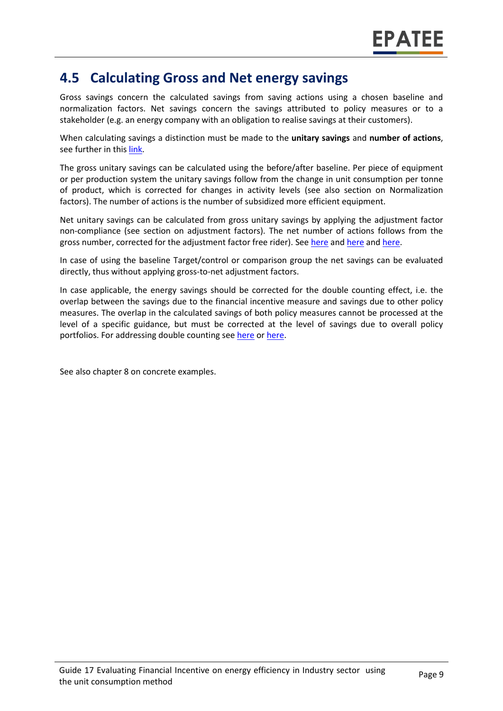#### **4.5 Calculating Gross and Net energy savings**

Gross savings concern the calculated savings from saving actions using a chosen baseline and normalization factors. Net savings concern the savings attributed to policy measures or to a stakeholder (e.g. an energy company with an obligation to realise savings at their customers).

When calculating savings a distinction must be made to the **unitary savings** and **number of actions**, see further in thi[s link.](https://www.epatee-lib.eu/media/docs/D4_EMEEES_Final.pdf)

The gross unitary savings can be calculated using the before/after baseline. Per piece of equipment or per production system the unitary savings follow from the change in unit consumption per tonne of product, which is corrected for changes in activity levels (see also section on Normalization factors). The number of actions is the number of subsidized more efficient equipment.

Net unitary savings can be calculated from gross unitary savings by applying the adjustment factor non-compliance (see section on adjustment factors). The net number of actions follows from the gross number, corrected for the adjustment factor free rider). See [here](https://www.epatee-lib.eu/media/docs/EMEEES_WP2_D1_Assessment_existing_evaluation_2008-04-21.pdf) an[d here](https://www.academia.edu/14979876/Evaluating_energy_efficiency_policy_measures_and_DSM_programmes) an[d here.](https://www.epatee-lib.eu/media/docs/D4_EMEEES_Final.pdf)

In case of using the baseline Target/control or comparison group the net savings can be evaluated directly, thus without applying gross-to-net adjustment factors.

In case applicable, the energy savings should be corrected for the double counting effect, i.e. the overlap between the savings due to the financial incentive measure and savings due to other policy measures. The overlap in the calculated savings of both policy measures cannot be processed at the level of a specific guidance, but must be corrected at the level of savings due to overall policy portfolios. For addressing double counting se[e here](https://www.academia.edu/14979876/Evaluating_energy_efficiency_policy_measures_and_DSM_programmes) o[r here.](https://www.epatee-lib.eu/media/docs/D4_EMEEES_Final.pdf)

See also chapter [8](#page-0-6) on concrete examples.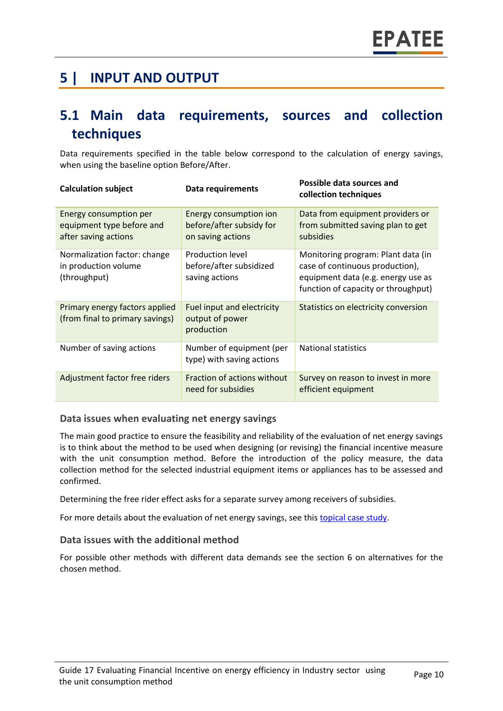### **5 | INPUT AND OUTPUT**

#### **5.1 Main data requirements, sources and collection techniques**

Data requirements specified in the table below correspond to the calculation of energy savings, when using the baseline option Before/After.

| <b>Calculation subject</b>                                                  | Data requirements                                                       | Possible data sources and<br>collection techniques                                                                                                 |
|-----------------------------------------------------------------------------|-------------------------------------------------------------------------|----------------------------------------------------------------------------------------------------------------------------------------------------|
| Energy consumption per<br>equipment type before and<br>after saving actions | Energy consumption ion<br>before/after subsidy for<br>on saving actions | Data from equipment providers or<br>from submitted saving plan to get<br>subsidies                                                                 |
| Normalization factor: change<br>in production volume<br>(throughput)        | <b>Production level</b><br>before/after subsidized<br>saving actions    | Monitoring program: Plant data (in<br>case of continuous production),<br>equipment data (e.g. energy use as<br>function of capacity or throughput) |
| Primary energy factors applied<br>(from final to primary savings)           | Fuel input and electricity<br>output of power<br>production             | Statistics on electricity conversion                                                                                                               |
| Number of saving actions                                                    | Number of equipment (per<br>type) with saving actions                   | <b>National statistics</b>                                                                                                                         |
| Adjustment factor free riders                                               | Fraction of actions without<br>need for subsidies                       | Survey on reason to invest in more<br>efficient equipment                                                                                          |

#### **Data issues when evaluating net energy savings**

The main good practice to ensure the feasibility and reliability of the evaluation of net energy savings is to think about the method to be used when designing (or revising) the financial incentive measure with the unit consumption method. Before the introduction of the policy measure, the data collection method for the selected industrial equipment items or appliances has to be assessed and confirmed.

Determining the free rider effect asks for a separate survey among receivers of subsidies.

For more details about the evaluation of net energy savings, see thi[s topical case study.](https://www.epatee-toolbox.eu/wp-content/uploads/2018/10/epatee_topical_case_study_evaluating_net_energy_savings.pdf)

#### **Data issues with the additional method**

For possible other methods with different data demands see the section [6](#page-0-0) on alternatives for the chosen method.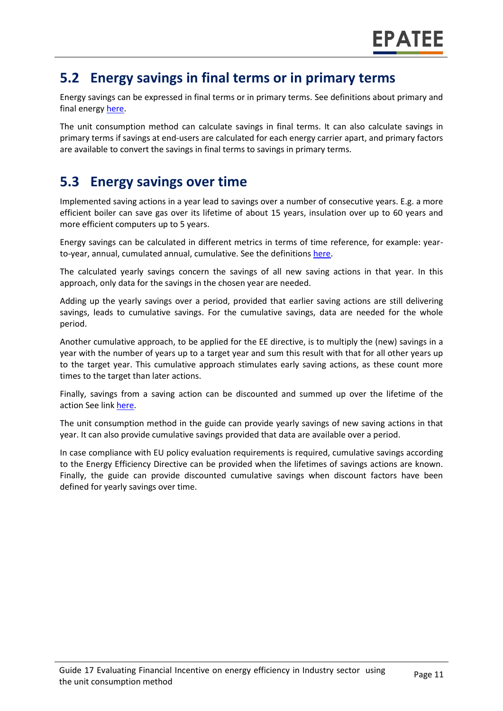#### **5.2 Energy savings in final terms or in primary terms**

Energy savings can be expressed in final terms or in primary terms. See definitions about primary and final energy [here.](https://www.epatee-toolbox.eu/wp-content/uploads/2018/10/Definitions-and-typologies-related-to-energy-savings-evaluation.pdf)

The unit consumption method can calculate savings in final terms. It can also calculate savings in primary terms if savings at end-users are calculated for each energy carrier apart, and primary factors are available to convert the savings in final terms to savings in primary terms.

### **5.3 Energy savings over time**

Implemented saving actions in a year lead to savings over a number of consecutive years. E.g. a more efficient boiler can save gas over its lifetime of about 15 years, insulation over up to 60 years and more efficient computers up to 5 years.

Energy savings can be calculated in different metrics in terms of time reference, for example: yearto-year, annual, cumulated annual, cumulative. See the definition[s here.](https://www.epatee-toolbox.eu/wp-content/uploads/2018/10/Definitions-and-typologies-related-to-energy-savings-evaluation.pdf)

The calculated yearly savings concern the savings of all new saving actions in that year. In this approach, only data for the savings in the chosen year are needed.

Adding up the yearly savings over a period, provided that earlier saving actions are still delivering savings, leads to cumulative savings. For the cumulative savings, data are needed for the whole period.

Another cumulative approach, to be applied for the EE directive, is to multiply the (new) savings in a year with the number of years up to a target year and sum this result with that for all other years up to the target year. This cumulative approach stimulates early saving actions, as these count more times to the target than later actions.

Finally, savings from a saving action can be discounted and summed up over the lifetime of the action See link [here.](https://www.epatee-toolbox.eu/wp-content/uploads/2018/10/Definitions-and-typologies-related-to-energy-savings-evaluation.pdf)

The unit consumption method in the guide can provide yearly savings of new saving actions in that year. It can also provide cumulative savings provided that data are available over a period.

In case compliance with EU policy evaluation requirements is required, cumulative savings according to the Energy Efficiency Directive can be provided when the lifetimes of savings actions are known. Finally, the guide can provide discounted cumulative savings when discount factors have been defined for yearly savings over time.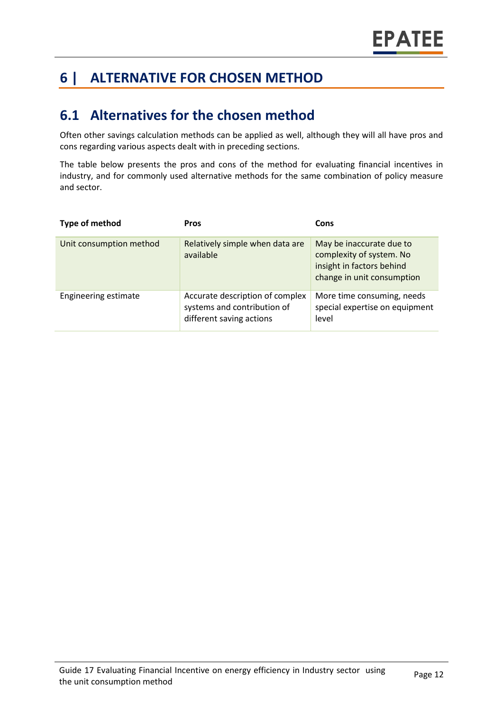## **6 | ALTERNATIVE FOR CHOSEN METHOD**

#### **6.1 Alternatives for the chosen method**

Often other savings calculation methods can be applied as well, although they will all have pros and cons regarding various aspects dealt with in preceding sections.

The table below presents the pros and cons of the method for evaluating financial incentives in industry, and for commonly used alternative methods for the same combination of policy measure and sector.

| Type of method          | <b>Pros</b>                                                                                | Cons                                                                                                            |
|-------------------------|--------------------------------------------------------------------------------------------|-----------------------------------------------------------------------------------------------------------------|
| Unit consumption method | Relatively simple when data are<br>available                                               | May be inaccurate due to<br>complexity of system. No<br>insight in factors behind<br>change in unit consumption |
| Engineering estimate    | Accurate description of complex<br>systems and contribution of<br>different saving actions | More time consuming, needs<br>special expertise on equipment<br>level                                           |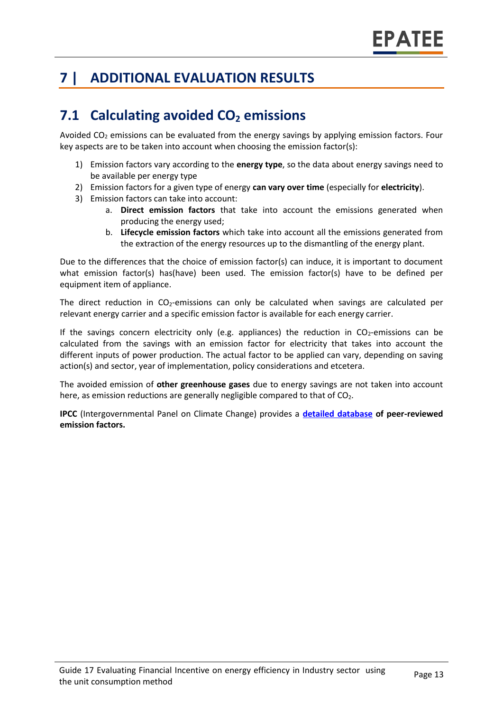## **7 | ADDITIONAL EVALUATION RESULTS**

## **7.1 Calculating avoided CO<sup>2</sup> emissions**

Avoided  $CO<sub>2</sub>$  emissions can be evaluated from the energy savings by applying emission factors. Four key aspects are to be taken into account when choosing the emission factor(s):

- 1) Emission factors vary according to the **energy type**, so the data about energy savings need to be available per energy type
- 2) Emission factors for a given type of energy **can vary over time** (especially for **electricity**).
- 3) Emission factors can take into account:
	- a. **Direct emission factors** that take into account the emissions generated when producing the energy used;
	- b. **Lifecycle emission factors** which take into account all the emissions generated from the extraction of the energy resources up to the dismantling of the energy plant.

Due to the differences that the choice of emission factor(s) can induce, it is important to document what emission factor(s) has(have) been used. The emission factor(s) have to be defined per equipment item of appliance.

The direct reduction in  $CO<sub>2</sub>$ -emissions can only be calculated when savings are calculated per relevant energy carrier and a specific emission factor is available for each energy carrier.

If the savings concern electricity only (e.g. appliances) the reduction in  $CO<sub>2</sub>$ -emissions can be calculated from the savings with an emission factor for electricity that takes into account the different inputs of power production. The actual factor to be applied can vary, depending on saving action(s) and sector, year of implementation, policy considerations and etcetera.

The avoided emission of **other greenhouse gases** due to energy savings are not taken into account here, as emission reductions are generally negligible compared to that of  $CO<sub>2</sub>$ .

**IPCC** (Intergovernmental Panel on Climate Change) provides a **[detailed database](https://www.ipcc-nggip.iges.or.jp/EFDB/main.php) of peer-reviewed emission factors.**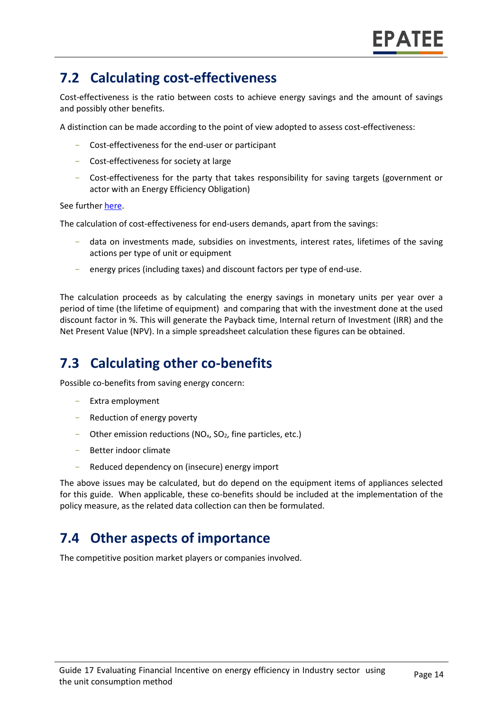### **7.2 Calculating cost-effectiveness**

Cost-effectiveness is the ratio between costs to achieve energy savings and the amount of savings and possibly other benefits.

A distinction can be made according to the point of view adopted to assess cost-effectiveness:

- Cost-effectiveness for the end-user or participant
- Cost-effectiveness for society at large
- Cost-effectiveness for the party that takes responsibility for saving targets (government or actor with an Energy Efficiency Obligation)

See furthe[r here.](https://epatee.eu/reports)

The calculation of cost-effectiveness for end-users demands, apart from the savings:

- data on investments made, subsidies on investments, interest rates, lifetimes of the saving actions per type of unit or equipment
- energy prices (including taxes) and discount factors per type of end-use.

The calculation proceeds as by calculating the energy savings in monetary units per year over a period of time (the lifetime of equipment) and comparing that with the investment done at the used discount factor in %. This will generate the Payback time, Internal return of Investment (IRR) and the Net Present Value (NPV). In a simple spreadsheet calculation these figures can be obtained.

### **7.3 Calculating other co-benefits**

Possible co-benefits from saving energy concern:

- Extra employment
- Reduction of energy poverty
- Other emission reductions ( $NO<sub>x</sub>$ ,  $SO<sub>2</sub>$ , fine particles, etc.)
- Better indoor climate
- Reduced dependency on (insecure) energy import

The above issues may be calculated, but do depend on the equipment items of appliances selected for this guide. When applicable, these co-benefits should be included at the implementation of the policy measure, as the related data collection can then be formulated.

#### **7.4 Other aspects of importance**

The competitive position market players or companies involved.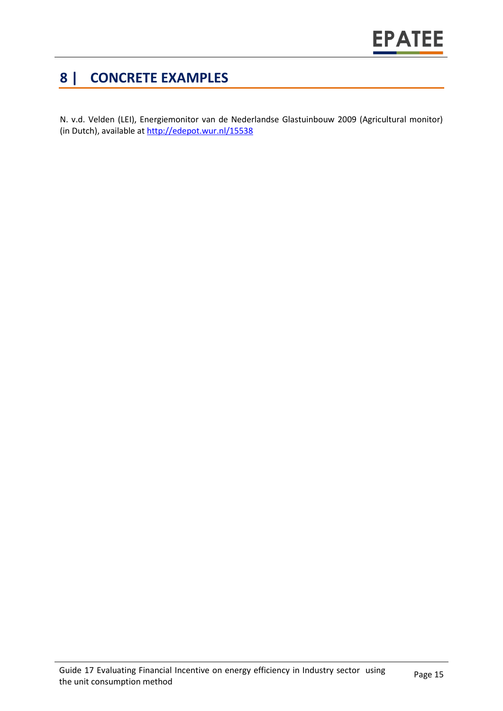## **8 | CONCRETE EXAMPLES**

N. v.d. Velden (LEI), Energiemonitor van de Nederlandse Glastuinbouw 2009 (Agricultural monitor) (in Dutch), available at<http://edepot.wur.nl/15538>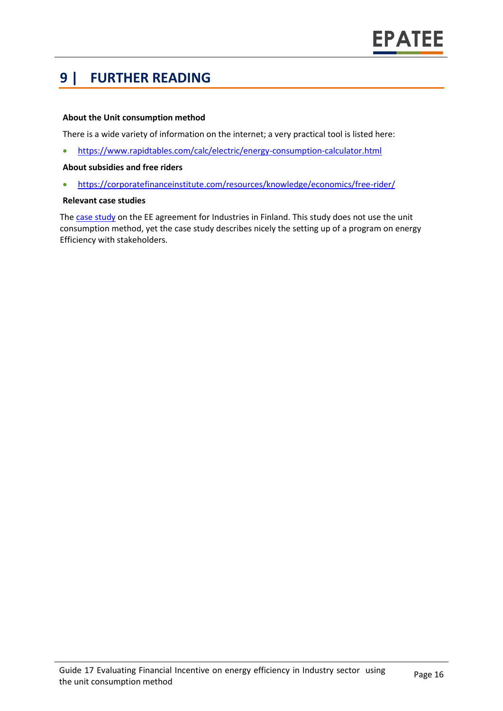### **9 | FURTHER READING**

#### **About the Unit consumption method**

There is a wide variety of information on the internet; a very practical tool is listed here:

• <https://www.rapidtables.com/calc/electric/energy-consumption-calculator.html>

#### **About subsidies and free riders**

• <https://corporatefinanceinstitute.com/resources/knowledge/economics/free-rider/>

#### **Relevant case studies**

The [case study](https://epatee.eu/system/tdf/epatee_case_study_finland_energy_efficiency_agreement_for_industries_ok_0.pdf?file=1&type=node&id=68) on the EE agreement for Industries in Finland. This study does not use the unit consumption method, yet the case study describes nicely the setting up of a program on energy Efficiency with stakeholders.